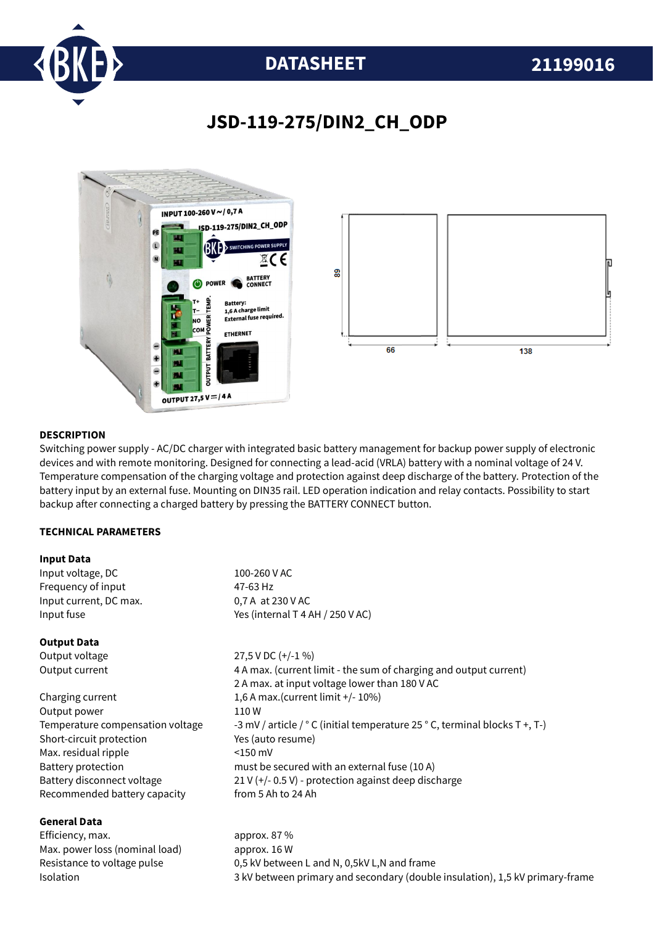

# **DATASHEET 21199016**

# **JSD-119-275/DIN2\_CH\_ODP**



### **DESCRIPTION**

Switching power supply - AC/DC charger with integrated basic battery management for backup power supply of electronic devices and with remote monitoring. Designed for connecting a lead-acid (VRLA) battery with a nominal voltage of 24 V. Temperature compensation of the charging voltage and protection against deep discharge of the battery. Protection of the battery input by an external fuse. Mounting on DIN35 rail. LED operation indication and relay contacts. Possibility to start backup after connecting a charged battery by pressing the BATTERY CONNECT button.

### **TECHNICAL PARAMETERS**

### **Input Data**

**General Data**

| Input voltage, DC                | 100-260 V AC                                                                |
|----------------------------------|-----------------------------------------------------------------------------|
| Frequency of input               | 47-63 Hz                                                                    |
| Input current, DC max.           | 0,7 A at 230 V AC                                                           |
| Input fuse                       | Yes (internal T 4 AH / 250 V AC)                                            |
| <b>Output Data</b>               |                                                                             |
| Output voltage                   | 27,5 V DC (+/-1 %)                                                          |
| Output current                   | 4 A max. (current limit - the sum of charging and output current)           |
|                                  | 2 A max. at input voltage lower than 180 V AC                               |
| Charging current                 | 1,6 A max. (current limit +/- 10%)                                          |
| Output power                     | 110W                                                                        |
| Temperature compensation voltage | -3 mV / article / ° C (initial temperature 25 ° C, terminal blocks T +, T-) |
| Short-circuit protection         | Yes (auto resume)                                                           |
| Max. residual ripple             | $<$ 150 mV                                                                  |
| Battery protection               | must be secured with an external fuse (10 A)                                |
| Battery disconnect voltage       | 21 V (+/- 0.5 V) - protection against deep discharge                        |
| Recommended battery capacity     | from 5 Ah to 24 Ah                                                          |
|                                  |                                                                             |

Efficiency, max. approx. 87 % Max. power loss (nominal load) approx. 16 W Resistance to voltage pulse 0,5 kV between L and N, 0,5kV L,N and frame Isolation 3 kV between primary and secondary (double insulation), 1,5 kV primary-frame